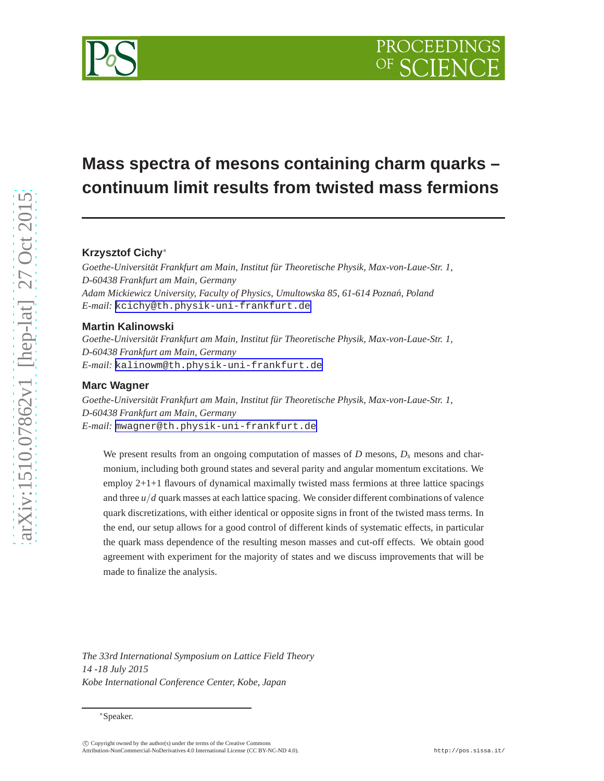# **Mass spectra of mesons containing charm quarks – continuum limit results from twisted mass fermions**

## **Krzysztof Cichy**<sup>∗</sup>

*Goethe-Universität Frankfurt am Main, Institut für Theoretische Physik, Max-von-Laue-Str. 1, D-60438 Frankfurt am Main, Germany Adam Mickiewicz University, Faculty of Physics, Umultowska 85, 61-614 Pozna´n, Poland E-mail:* [kcichy@th.physik-uni-frankfurt.de](mailto:kcichy@th.physik-uni-frankfurt.de)

## **Martin Kalinowski**

*Goethe-Universität Frankfurt am Main, Institut für Theoretische Physik, Max-von-Laue-Str. 1, D-60438 Frankfurt am Main, Germany E-mail:* [kalinowm@th.physik-uni-frankfurt.de](mailto:kalinowm@th.physik-uni-frankfurt.de)

## **Marc Wagner**

*Goethe-Universität Frankfurt am Main, Institut für Theoretische Physik, Max-von-Laue-Str. 1, D-60438 Frankfurt am Main, Germany E-mail:* [mwagner@th.physik-uni-frankfurt.de](mailto:mwagner@th.physik-uni-frankfurt.de)

We present results from an ongoing computation of masses of  $D$  mesons,  $D<sub>s</sub>$  mesons and charmonium, including both ground states and several parity and angular momentum excitations. We employ 2+1+1 flavours of dynamical maximally twisted mass fermions at three lattice spacings and three  $u/d$  quark masses at each lattice spacing. We consider different combinations of valence quark discretizations, with either identical or opposite signs in front of the twisted mass terms. In the end, our setup allows for a good control of different kinds of systematic effects, in particular the quark mass dependence of the resulting meson masses and cut-off effects. We obtain good agreement with experiment for the majority of states and we discuss improvements that will be made to finalize the analysis.

*The 33rd International Symposium on Lattice Field Theory 14 -18 July 2015 Kobe International Conference Center, Kobe, Japan*

<sup>∗</sup>Speaker.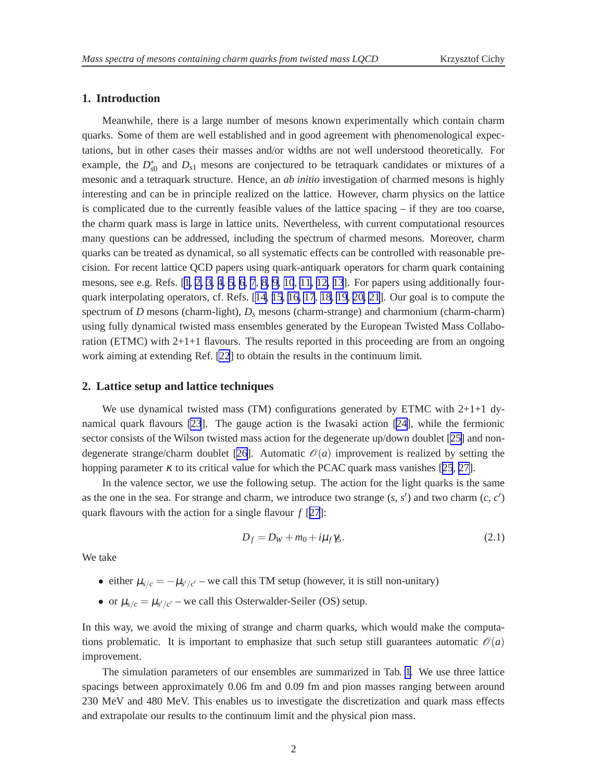## **1. Introduction**

Meanwhile, there is a large number of mesons known experimentally which contain charm quarks. Some of them are well established and in good agreement with phenomenological expectations, but in other cases their masses and/or widths are not well understood theoretically. For example, the  $D_{st}^*$  $S_{0}$  and  $D_{s1}$  mesons are conjectured to be tetraquark candidates or mixtures of a mesonic and a tetraquark structure. Hence, an *ab initio* investigation of charmed mesons is highly interesting and can be in principle realized on the lattice. However, charm physics on the lattice is complicated due to the currently feasible values of the lattice spacing – if they are too coarse, the charm quark mass is large in lattice units. Nevertheless, with current computational resources many questions can be addressed, including the spectrum of charmed mesons. Moreover, charm quarks can be treated as dynamical, so all systematic effects can be controlled with reasonable precision. For recent lattice QCD papers using quark-antiquark operators for charm quark containing mesons, see e.g. Refs.  $[1, 2, 3, 4, 5, 6, 7, 8, 9, 10, 11, 12, 13]$  $[1, 2, 3, 4, 5, 6, 7, 8, 9, 10, 11, 12, 13]$  $[1, 2, 3, 4, 5, 6, 7, 8, 9, 10, 11, 12, 13]$  $[1, 2, 3, 4, 5, 6, 7, 8, 9, 10, 11, 12, 13]$  $[1, 2, 3, 4, 5, 6, 7, 8, 9, 10, 11, 12, 13]$  $[1, 2, 3, 4, 5, 6, 7, 8, 9, 10, 11, 12, 13]$  $[1, 2, 3, 4, 5, 6, 7, 8, 9, 10, 11, 12, 13]$  $[1, 2, 3, 4, 5, 6, 7, 8, 9, 10, 11, 12, 13]$  $[1, 2, 3, 4, 5, 6, 7, 8, 9, 10, 11, 12, 13]$  $[1, 2, 3, 4, 5, 6, 7, 8, 9, 10, 11, 12, 13]$  $[1, 2, 3, 4, 5, 6, 7, 8, 9, 10, 11, 12, 13]$  $[1, 2, 3, 4, 5, 6, 7, 8, 9, 10, 11, 12, 13]$  $[1, 2, 3, 4, 5, 6, 7, 8, 9, 10, 11, 12, 13]$  $[1, 2, 3, 4, 5, 6, 7, 8, 9, 10, 11, 12, 13]$  $[1, 2, 3, 4, 5, 6, 7, 8, 9, 10, 11, 12, 13]$ . For papers using additionally fourquark interpolating operators, cf. Refs. [[14, 15](#page-6-0), [16, 17](#page-6-0), [18, 19](#page-6-0), [20, 21](#page-6-0)]. Our goal is to compute the spectrum of *D* mesons (charm-light), *D<sup>s</sup>* mesons (charm-strange) and charmonium (charm-charm) using fully dynamical twisted mass ensembles generated by the European Twisted Mass Collaboration (ETMC) with  $2+1+1$  flavours. The results reported in this proceeding are from an ongoing work aiming at extending Ref. [\[22](#page-6-0)] to obtain the results in the continuum limit.

## **2. Lattice setup and lattice techniques**

We use dynamical twisted mass (TM) configurations generated by ETMC with  $2+1+1$  dynamical quark flavours [\[23](#page-6-0)]. The gauge action is the Iwasaki action [[24\]](#page-6-0), while the fermionic sector consists of the Wilson twisted mass action for the degenerate up/down doublet [[25\]](#page-6-0) and non-degenerate strange/charm doublet [[26\]](#page-6-0). Automatic  $\mathcal{O}(a)$  improvement is realized by setting the hopping parameter  $\kappa$  to its critical value for which the PCAC quark mass vanishes [[25](#page-6-0), [27\]](#page-6-0).

In the valence sector, we use the following setup. The action for the light quarks is the same as the one in the sea. For strange and charm, we introduce two strange  $(s, s')$  and two charm  $(c, c')$ quark flavours with the action for a single flavour *f* [[27](#page-6-0)]:

$$
D_f = D_W + m_0 + i\mu_f \gamma_5. \tag{2.1}
$$

We take

- either  $\mu_{s/c} = -\mu_{s'/c'}$  we call this TM setup (however, it is still non-unitary)
- or  $\mu_{s/c} = \mu_{s'/c'}$  we call this Osterwalder-Seiler (OS) setup.

In this way, we avoid the mixing of strange and charm quarks, which would make the computations problematic. It is important to emphasize that such setup still guarantees automatic  $\mathcal{O}(a)$ improvement.

The simulation parameters of our ensembles are summarized in Tab. [1](#page-2-0). We use three lattice spacings between approximately 0.06 fm and 0.09 fm and pion masses ranging between around 230 MeV and 480 MeV. This enables us to investigate the discretization and quark mass effects and extrapolate our results to the continuum limit and the physical pion mass.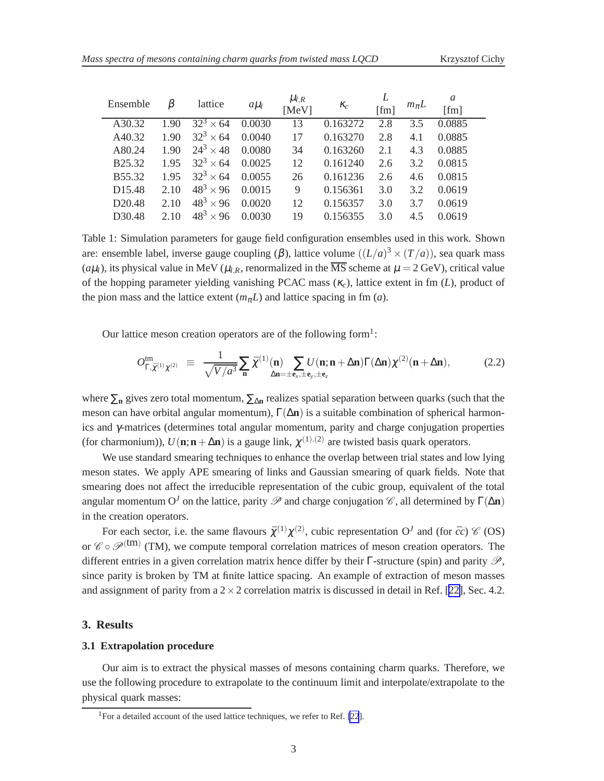<span id="page-2-0"></span>

| Ensemble           | β    | lattice                     | $a\mu$ | $\mu_{l,R}$<br>[MeV] | $K_c$    | [fm] | $m_{\pi}L$ | a<br>[fm] |
|--------------------|------|-----------------------------|--------|----------------------|----------|------|------------|-----------|
| A30.32             | 1.90 | $\overline{32^3} \times 64$ | 0.0030 | 13                   | 0.163272 | 2.8  | 3.5        | 0.0885    |
| A40.32             | 1.90 | $32^3 \times 64$            | 0.0040 | 17                   | 0.163270 | 2.8  | 4.1        | 0.0885    |
| A80.24             | 1.90 | $24^3 \times 48$            | 0.0080 | 34                   | 0.163260 | 2.1  | 4.3        | 0.0885    |
| <b>B25.32</b>      | 1.95 | $32^3 \times 64$            | 0.0025 | 12                   | 0.161240 | 2.6  | 3.2        | 0.0815    |
| B55.32             | 1.95 | $32^3 \times 64$            | 0.0055 | 26                   | 0.161236 | 2.6  | 4.6        | 0.0815    |
| D <sub>15.48</sub> | 2.10 | $48^3 \times 96$            | 0.0015 | 9                    | 0.156361 | 3.0  | 3.2        | 0.0619    |
| D <sub>20.48</sub> | 2.10 | $48^3 \times 96$            | 0.0020 | 12                   | 0.156357 | 3.0  | 3.7        | 0.0619    |
| D <sub>30.48</sub> | 2.10 | $48^{3}$<br>$\times$ 96     | 0.0030 | 19                   | 0.156355 | 3.0  | 4.5        | 0.0619    |

Table 1: Simulation parameters for gauge field configuration ensembles used in this work. Shown are: ensemble label, inverse gauge coupling (β), lattice volume ((*L*/*a*) <sup>3</sup> ×(*T*/*a*)), sea quark mass  $(a\mu_l)$ , its physical value in MeV ( $\mu_l$ , renormalized in the  $\overline{\text{MS}}$  scheme at  $\mu = 2$  GeV), critical value of the hopping parameter yielding vanishing PCAC mass (<sup>κ</sup>*c*), lattice extent in fm (*L*), product of the pion mass and the lattice extent  $(m<sub>\pi</sub> L)$  and lattice spacing in fm (*a*).

Our lattice meson creation operators are of the following form<sup>1</sup>:

$$
O_{\Gamma,\tilde{\chi}^{(1)}\chi^{(2)}}^{\text{tm}} \equiv \frac{1}{\sqrt{V/a^3}} \sum_{\mathbf{n}} \tilde{\chi}^{(1)}(\mathbf{n}) \sum_{\Delta \mathbf{n}=\pm \mathbf{e}_x, \pm \mathbf{e}_y, \pm \mathbf{e}_z} U(\mathbf{n}; \mathbf{n} + \Delta \mathbf{n}) \Gamma(\Delta \mathbf{n}) \chi^{(2)}(\mathbf{n} + \Delta \mathbf{n}), \tag{2.2}
$$

where ∑**<sup>n</sup>** gives zero total momentum, ∑∆**<sup>n</sup>** realizes spatial separation between quarks (such that the meson can have orbital angular momentum),  $\Gamma(\Delta n)$  is a suitable combination of spherical harmonics and γ-matrices (determines total angular momentum, parity and charge conjugation properties (for charmonium)),  $U(\mathbf{n}; \mathbf{n} + \Delta \mathbf{n})$  is a gauge link,  $\chi^{(1),(2)}$  are twisted basis quark operators.

We use standard smearing techniques to enhance the overlap between trial states and low lying meson states. We apply APE smearing of links and Gaussian smearing of quark fields. Note that smearing does not affect the irreducible representation of the cubic group, equivalent of the total angular momentum O<sup>*J*</sup> on the lattice, parity  $\mathscr P$  and charge conjugation  $\mathscr C$ , all determined by  $\Gamma(\Delta n)$ in the creation operators.

For each sector, i.e. the same flavours  $\bar{\chi}^{(1)} \chi^{(2)}$ , cubic representation O<sup>*J*</sup> and (for  $\bar{c}c$ )  $\mathcal{C}$  (OS) or  $\mathcal{C} \circ \mathcal{P}^{(tm)}$  (TM), we compute temporal correlation matrices of meson creation operators. The different entries in a given correlation matrix hence differ by their  $\Gamma$ -structure (spin) and parity  $\mathscr{P}$ , since parity is broken by TM at finite lattice spacing. An example of extraction of meson masses and assignment of parity from a  $2 \times 2$  correlation matrix is discussed in detail in Ref. [[22\]](#page-6-0), Sec. 4.2.

#### **3. Results**

## **3.1 Extrapolation procedure**

Our aim is to extract the physical masses of mesons containing charm quarks. Therefore, we use the following procedure to extrapolate to the continuum limit and interpolate/extrapolate to the physical quark masses:

<sup>&</sup>lt;sup>1</sup>For a detailed account of the used lattice techniques, we refer to Ref. [\[22](#page-6-0)].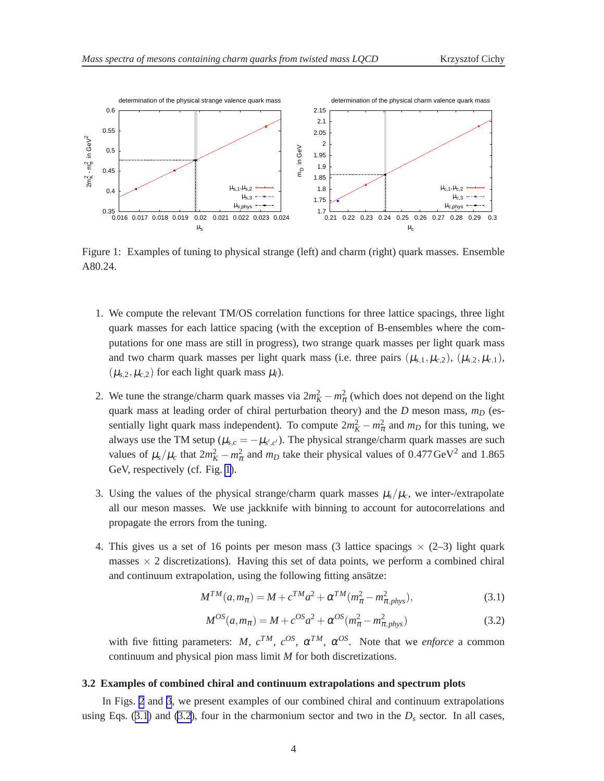

Figure 1: Examples of tuning to physical strange (left) and charm (right) quark masses. Ensemble A80.24.

- 1. We compute the relevant TM/OS correlation functions for three lattice spacings, three light quark masses for each lattice spacing (with the exception of B-ensembles where the computations for one mass are still in progress), two strange quark masses per light quark mass and two charm quark masses per light quark mass (i.e. three pairs  $(\mu_{s,1}, \mu_{c,2}), (\mu_{s,2}, \mu_{c,1}),$  $(\mu_{s,2}, \mu_{c,2})$  for each light quark mass  $\mu_l$ ).
- 2. We tune the strange/charm quark masses via  $2m_K^2 m_\pi^2$  (which does not depend on the light quark mass at leading order of chiral perturbation theory) and the *D* meson mass, *m<sup>D</sup>* (essentially light quark mass independent). To compute  $2m_K^2 - m_{\pi}^2$  and  $m_D$  for this tuning, we always use the TM setup ( $\mu_{s,c} = -\mu_{s',c'}$ ). The physical strange/charm quark masses are such values of  $\mu_s/\mu_c$  that  $2m_K^2 - m_\pi^2$  and  $m_D$  take their physical values of 0.477 GeV<sup>2</sup> and 1.865 GeV, respectively (cf. Fig. 1).
- 3. Using the values of the physical strange/charm quark masses  $\mu_s/\mu_c$ , we inter-/extrapolate all our meson masses. We use jackknife with binning to account for autocorrelations and propagate the errors from the tuning.
- 4. This gives us a set of 16 points per meson mass (3 lattice spacings  $\times$  (2–3) light quark masses  $\times$  2 discretizations). Having this set of data points, we perform a combined chiral and continuum extrapolation, using the following fitting ansätze:

$$
M^{TM}(a,m_{\pi}) = M + c^{TM}a^2 + \alpha^{TM}(m_{\pi}^2 - m_{\pi,phys}^2),
$$
\n(3.1)

$$
M^{OS}(a, m_{\pi}) = M + c^{OS}a^2 + \alpha^{OS}(m_{\pi}^2 - m_{\pi, phys}^2)
$$
\n(3.2)

with five fitting parameters: *M*,  $c^{TM}$ ,  $c^{OS}$ ,  $\alpha^{TM}$ ,  $\alpha^{OS}$ . Note that we *enforce* a common continuum and physical pion mass limit *M* for both discretizations.

#### **3.2 Examples of combined chiral and continuum extrapolations and spectrum plots**

In Figs. [2](#page-4-0) and [3](#page-4-0), we present examples of our combined chiral and continuum extrapolations using Eqs. (3.1) and (3.2), four in the charmonium sector and two in the  $D<sub>s</sub>$  sector. In all cases,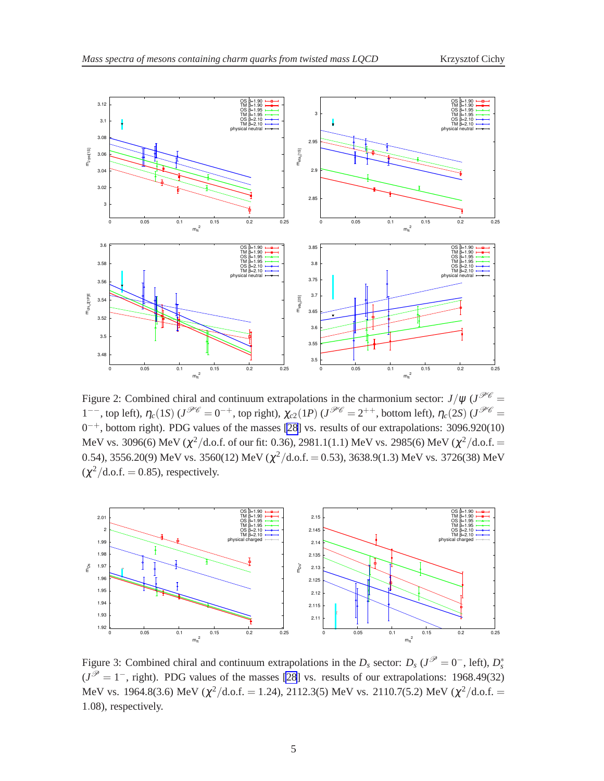<span id="page-4-0"></span>

Figure 2: Combined chiral and continuum extrapolations in the charmonium sector:  $J/\psi$  ( $J^{\mathcal{P}\mathcal{C}}$  =  $1^{--}$ , top left),  $\eta_c(1S)$  ( $J^{\mathcal{P}\mathcal{C}} = 0^{-+}$ , top right),  $\chi_{c2}(1P)$  ( $J^{\mathcal{P}\mathcal{C}} = 2^{++}$ , bottom left),  $\eta_c(2S)$  ( $J^{\mathcal{P}\mathcal{C}} = 1$ 0<sup>-+</sup>, bottom right). PDG values of the masses [\[28](#page-6-0)] vs. results of our extrapolations: 3096.920(10) MeV vs. 3096(6) MeV ( $\chi^2/\text{d.o.f.}$  of our fit: 0.36), 2981.1(1.1) MeV vs. 2985(6) MeV ( $\chi^2/\text{d.o.f.} =$ 0.54), 3556.20(9) MeV vs. 3560(12) MeV ( $\chi^2/\text{d.o.f.} =$  0.53), 3638.9(1.3) MeV vs. 3726(38) MeV  $(\chi^2/\text{d.o.f.} = 0.85)$ , respectively.



Figure 3: Combined chiral and continuum extrapolations in the  $D_s$  sector:  $D_s (J^{\mathscr{P}} = 0^-$ , left),  $D_s^*$ *s*  $(J^{\mathcal{P}}=1^{-}$ , right). PDG values of the masses [\[28](#page-6-0)] vs. results of our extrapolations: 1968.49(32) MeV vs. 1964.8(3.6) MeV ( $\chi^2$ /d.o.f. = 1.24), 2112.3(5) MeV vs. 2110.7(5.2) MeV ( $\chi^2$ /d.o.f. = 1.08), respectively.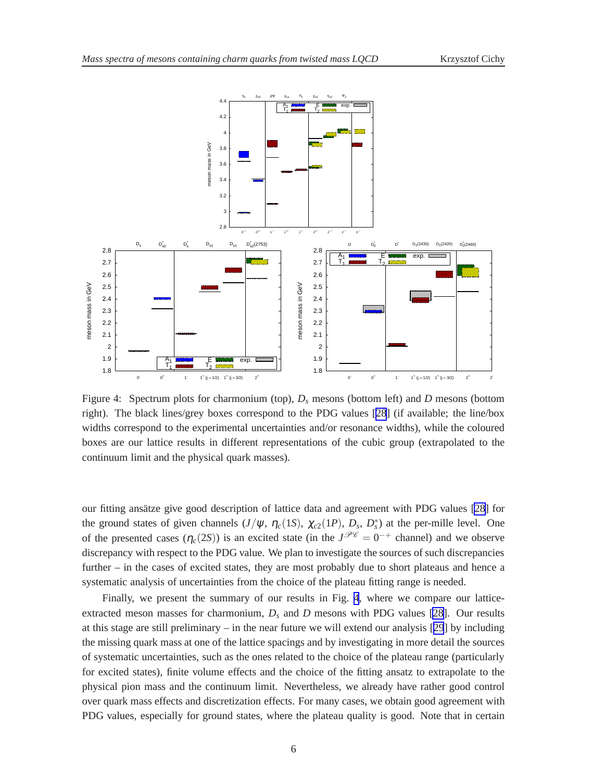

Figure 4: Spectrum plots for charmonium (top), *D<sup>s</sup>* mesons (bottom left) and *D* mesons (bottom right). The black lines/grey boxes correspond to the PDG values [\[28](#page-6-0)] (if available; the line/box widths correspond to the experimental uncertainties and/or resonance widths), while the coloured boxes are our lattice results in different representations of the cubic group (extrapolated to the continuum limit and the physical quark masses).

our fitting ansätze give good description of lattice data and agreement with PDG values [\[28](#page-6-0)] for the ground states of given channels  $(J/\psi, \eta_c(1S), \chi_{c2}(1P), D_s, D_s^*$ *s* ) at the per-mille level. One of the presented cases  $(\eta_c(2S))$  is an excited state (in the  $J^{\mathcal{P}\mathcal{C}} = 0^{-+}$  channel) and we observe discrepancy with respect to the PDG value. We plan to investigate the sources of such discrepancies further – in the cases of excited states, they are most probably due to short plateaus and hence a systematic analysis of uncertainties from the choice of the plateau fitting range is needed.

Finally, we present the summary of our results in Fig. 4, where we compare our latticeextracted meson masses for charmonium, *D<sup>s</sup>* and *D* mesons with PDG values [[28\]](#page-6-0). Our results at this stage are still preliminary – in the near future we will extend our analysis [[29](#page-6-0)] by including the missing quark mass at one of the lattice spacings and by investigating in more detail the sources of systematic uncertainties, such as the ones related to the choice of the plateau range (particularly for excited states), finite volume effects and the choice of the fitting ansatz to extrapolate to the physical pion mass and the continuum limit. Nevertheless, we already have rather good control over quark mass effects and discretization effects. For many cases, we obtain good agreement with PDG values, especially for ground states, where the plateau quality is good. Note that in certain